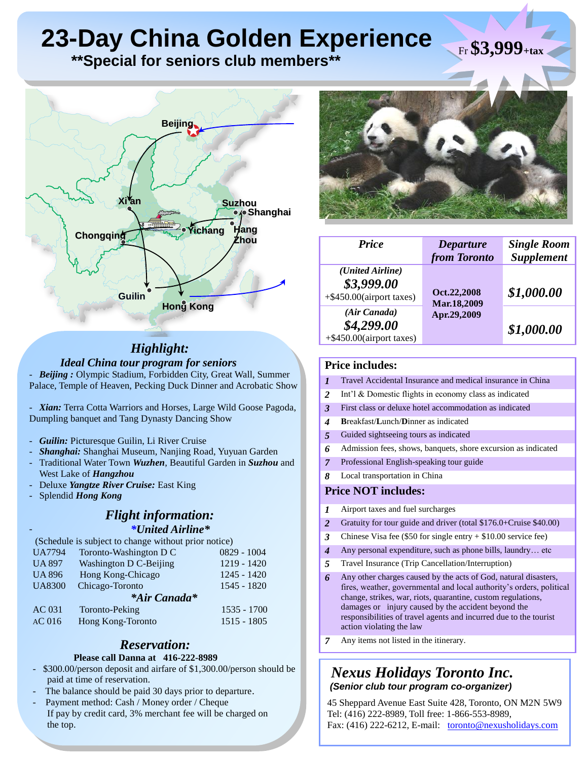# **23-Day China Golden Experience**

 **\*\*Special for seniors club members\*\***



# *Highlight: Ideal China tour program for seniors*

- *Beijing :* Olympic Stadium, Forbidden City, Great Wall, Summer Palace, Temple of Heaven, Pecking Duck Dinner and Acrobatic Show

Xian: Terra Cotta Warriors and Horses, Large Wild Goose Pagoda, Dumpling banquet and Tang Dynasty Dancing Show

- Guilin: Picturesque Guilin, Li River Cruise
- *Shanghai:* Shanghai Museum, Nanjing Road, Yuyuan Garden
- Traditional Water Town *Wuzhen*, Beautiful Garden in *Suzhou* and West Lake of *Hangzhou*
- Deluxe *Yangtze River Cruise:* East King
- Splendid *Hong Kong*

-

# *Flight information: \*United Airline\**

| (Schedule is subject to change without prior notice) |                                       |               |  |  |
|------------------------------------------------------|---------------------------------------|---------------|--|--|
| <b>UA7794</b>                                        | Toronto-Washington D C                | $0829 - 1004$ |  |  |
| <b>UA 897</b>                                        | 1219 - 1420<br>Washington D C-Beijing |               |  |  |
| <b>UA 896</b>                                        | Hong Kong-Chicago                     | $1245 - 1420$ |  |  |
| <b>UA8300</b>                                        | Chicago-Toronto                       | $1545 - 1820$ |  |  |
| *Air Canada*                                         |                                       |               |  |  |
| AC 031                                               | Toronto-Peking                        | $1535 - 1700$ |  |  |
| AC <sub>016</sub>                                    | Hong Kong-Toronto                     | $1515 - 1805$ |  |  |

# *Reservation:*

### **Please call Danna at 416-222-8989**

- \$300.00/person deposit and airfare of \$1,300.00/person should be paid at time of reservation.
- The balance should be paid 30 days prior to departure.
- Payment method: Cash / Money order / Cheque If pay by credit card, 3% merchant fee will be charged on the top.



Fr **\$3,999+tax**

| <b>Price</b>                                               | <b>Departure</b><br>from Toronto          | <b>Single Room</b><br><b>Supplement</b> |
|------------------------------------------------------------|-------------------------------------------|-----------------------------------------|
| (United Airline)<br>\$3,999.00<br>+\$450.00(airport taxes) | Oct.22,2008<br>Mar.18,2009<br>Apr.29,2009 | \$1,000.00                              |
| (Air Canada)<br>\$4,299.00<br>$+$ \$450.00(airport taxes)  |                                           | \$1,000.00                              |

## **Price includes:**

- *1* Travel Accidental Insurance and medical insurance in China
- *2* Int'l & Domestic flights in economy class as indicated
- *3* First class or deluxe hotel accommodation as indicated
- *4* **B**reakfast/**L**unch/**D**inner as indicated
- *5* Guided sightseeing tours as indicated
- *6* Admission fees, shows, banquets, shore excursion as indicated
- *7* Professional English-speaking tour guide
- *8* Local transportation in China

## **Price NOT includes:**

- *1* Airport taxes and fuel surcharges
- *2* Gratuity for tour guide and driver (total \$176.0+Cruise \$40.00)
- *3* Chinese Visa fee (\$50 for single entry + \$10.00 service fee)
- *4* Any personal expenditure, such as phone bills, laundry… etc
- *5* Travel Insurance (Trip Cancellation/Interruption)
- *6* Any other charges caused by the acts of God, natural disasters, fires, weather, governmental and local authority's orders, political change, strikes, war, riots, quarantine, custom regulations, damages or injury caused by the accident beyond the responsibilities of travel agents and incurred due to the tourist action violating the law
- *7* Any items not listed in the itinerary.

# *Nexus Holidays Toronto Inc. (Senior club tour program co-organizer)*

45 Sheppard Avenue East Suite 428, Toronto, ON M2N 5W9 Tel: (416) 222-8989, Toll free: 1-866-553-8989, Fax: (416) 222-6212, E-mail: [toronto@nexusholidays.com](mailto:toronto@nexusholidays.com)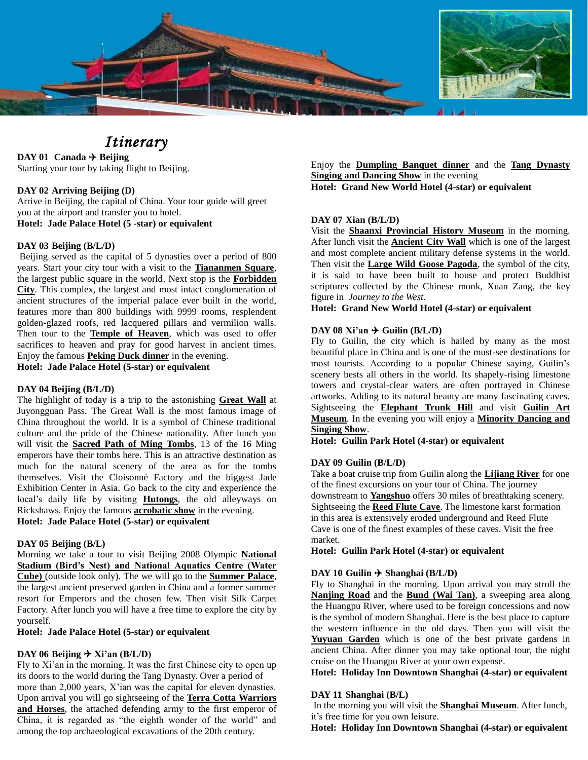

# *Itinerary*

**DAY 01 Canada**  $\rightarrow$  **Beijing** Starting your tour by taking flight to Beijing.

#### **DAY 02 Arriving Beijing (D)**

Arrive in Beijing, the capital of China. Your tour guide will greet you at the airport and transfer you to hotel. **Hotel: Jade Palace Hotel (5 -star) or equivalent**

#### **DAY 03 Beijing (B/L/D)**

Beijing served as the capital of 5 dynasties over a period of 800 years. Start your city tour with a visit to the **Tiananmen Square**, the largest public square in the world. Next stop is the **Forbidden City**. This complex, the largest and most intact conglomeration of ancient structures of the imperial palace ever built in the world, features more than 800 buildings with 9999 rooms, resplendent golden-glazed roofs, red lacquered pillars and vermilion walls. Then tour to the **Temple of Heaven**, which was used to offer sacrifices to heaven and pray for good harvest in ancient times. Enjoy the famous **Peking Duck dinner** in the evening. **Hotel: Jade Palace Hotel (5-star) or equivalent**

#### **DAY 04 Beijing (B/L/D)**

The highlight of today is a trip to the astonishing **Great Wall** at Juyongguan Pass. The Great Wall is the most famous image of China throughout the world. It is a symbol of Chinese traditional culture and the pride of the Chinese nationality. After lunch you will visit the **Sacred Path of Ming Tombs**, 13 of the 16 Ming emperors have their tombs here. This is an attractive destination as much for the natural scenery of the area as for the tombs themselves. Visit the Cloisonné Factory and the biggest Jade Exhibition Center in Asia. Go back to the city and experience the local's daily life by visiting **Hutongs**, the old alleyways on Rickshaws. Enjoy the famous **acrobatic show** in the evening. **Hotel: Jade Palace Hotel (5-star) or equivalent**

#### **DAY 05 Beijing (B/L)**

Morning we take a tour to visit Beijing 2008 Olympic **National Stadium (Bird's Nest) and National Aquatics Centre (Water Cube)** (outside look only). The we will go to the **Summer Palace**, the largest ancient preserved garden in China and a former summer resort for Emperors and the chosen few. Then visit Silk Carpet Factory. After lunch you will have a free time to explore the city by yourself.

#### **Hotel: Jade Palace Hotel (5-star) or equivalent**

#### **DAY** 06 **Beijing**  $\rightarrow$  **Xi'an** (B/L/D)

Fly to Xi'an in the morning. It was the first Chinese city to open up its doors to the world during the Tang Dynasty. Over a period of more than 2,000 years, X'ian was the capital for eleven dynasties. Upon arrival you will go sightseeing of the **Terra Cotta Warriors**  and Horses, the attached defending army to the first emperor of China, it is regarded as "the eighth wonder of the world" and among the top archaeological excavations of the 20th century.

Enjoy the **Dumpling Banquet dinner** and the **Tang Dynasty Singing and Dancing Show** in the evening **Hotel: Grand New World Hotel (4-star) or equivalent**

#### **DAY 07 Xian (B/L/D)**

Visit the **Shaanxi Provincial History Museum** in the morning. After lunch visit the **Ancient City Wall** which is one of the largest and most complete ancient military defense systems in the world. Then visit the **Large Wild Goose Pagoda**, the symbol of the city, it is said to have been built to house and protect Buddhist scriptures collected by the Chinese monk, Xuan Zang, the key figure in *Journey to the West*.

## **Hotel: Grand New World Hotel (4-star) or equivalent**

#### **DAY** 08  $Xi'$  an  $\rightarrow$  Guilin (B/L/D)

Fly to Guilin, the city which is hailed by many as the most beautiful place in China and is one of the must-see destinations for most tourists. According to a popular Chinese saying, Guilin's scenery bests all others in the world. Its shapely-rising limestone towers and crystal-clear waters are often portrayed in Chinese artworks. Adding to its natural beauty are many fascinating caves. Sightseeing the **Elephant Trunk Hill** and visit **Guilin Art Museum**. In the evening you will enjoy a **Minority Dancing and Singing Show**.

**Hotel: Guilin Park Hotel (4-star) or equivalent**

#### **DAY 09 Guilin (B/L/D)**

Take a boat cruise trip from Guilin along the **Lijiang River** for one of the finest excursions on your tour of China. The journey downstream to **Yangshuo** offers 30 miles of breathtaking scenery. Sightseeing the **Reed Flute Cave**. The limestone karst formation in this area is extensively eroded underground and Reed Flute Cave is one of the finest examples of these caves. Visit the free market.

**Hotel: Guilin Park Hotel (4-star) or equivalent**

#### **DAY 10 Guilin**  $\rightarrow$  **Shanghai (B/L/D)**

Fly to Shanghai in the morning. Upon arrival you may stroll the **Nanjing Road** and the **Bund (Wai Tan)**, a sweeping area along the Huangpu River, where used to be foreign concessions and now is the symbol of modern Shanghai. Here is the best place to capture the western influence in the old days. Then you will visit the **Yuyuan Garden** which is one of the best private gardens in ancient China. After dinner you may take optional tour, the night cruise on the Huangpu River at your own expense.

**Hotel: Holiday Inn Downtown Shanghai (4-star) or equivalent**

#### **DAY 11 Shanghai (B/L)**

In the morning you will visit the **Shanghai Museum**. After lunch, it's free time for you own leisure.

**Hotel: Holiday Inn Downtown Shanghai (4-star) or equivalent**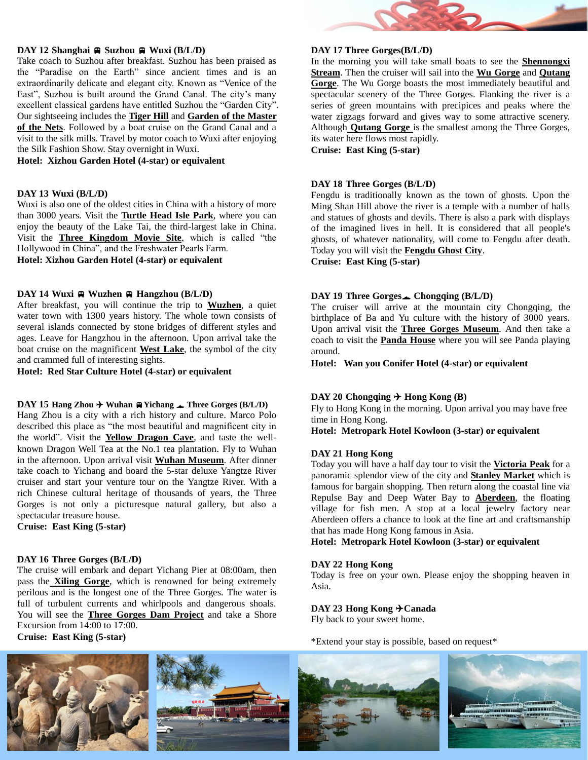#### **DAY 12 Shanghai**  $\oplus$  **Suzhou**  $\oplus$  **Wuxi**  $(B/L/D)$

Take coach to Suzhou after breakfast. Suzhou has been praised as the "Paradise on the Earth" since ancient times and is an extraordinarily delicate and elegant city. Known as "Venice of the East", Suzhou is built around the Grand Canal. The city's many excellent classical gardens have entitled Suzhou the "Garden City". Our sightseeing includes the **Tiger Hill** and **Garden of the Master of the Nets**. Followed by a boat cruise on the Grand Canal and a visit to the silk mills. Travel by motor coach to Wuxi after enjoying the Silk Fashion Show. Stay overnight in Wuxi.

**Hotel: Xizhou Garden Hotel (4-star) or equivalent**

#### **DAY 13 Wuxi (B/L/D)**

Wuxi is also one of the oldest cities in China with a history of more than 3000 years. Visit the **Turtle Head Isle Park**, where you can enjoy the beauty of the Lake Tai, the third-largest lake in China. Visit the **Three Kingdom Movie Site**, which is called "the Hollywood in China", and the Freshwater Pearls Farm. **Hotel: Xizhou Garden Hotel (4-star) or equivalent**

#### **DAY** 14 **Wuxi**  $\oplus$  **Wuzhen**  $\oplus$  **Hangzhou** ( $B/L/D$ )

After breakfast, you will continue the trip to **Wuzhen**, a quiet water town with 1300 years history. The whole town consists of several islands connected by stone bridges of different styles and ages. Leave for Hangzhou in the afternoon. Upon arrival take the boat cruise on the magnificent **West Lake**, the symbol of the city and crammed full of interesting sights.

**Hotel: Red Star Culture Hotel (4-star) or equivalent**

#### **DAY 15 Hang Zhou**  $\rightarrow$  **Wuhan**  $\oplus$  **Yichang**  $\rightarrow$  **Three Gorges** (B/L/D)

Hang Zhou is a city with a rich history and culture. Marco Polo described this place as "the most beautiful and magnificent city in the world". Visit the **Yellow Dragon Cave**, and taste the wellknown Dragon Well Tea at the No.1 tea plantation. Fly to Wuhan in the afternoon. Upon arrival visit **Wuhan Museum**. After dinner take coach to Yichang and board the 5-star deluxe Yangtze River cruiser and start your venture tour on the Yangtze River. With a rich Chinese cultural heritage of thousands of years, the Three Gorges is not only a picturesque natural gallery, but also a spectacular treasure house.

**Cruise: East King (5-star)**

#### **DAY 16 Three Gorges (B/L/D)**

The cruise will embark and depart Yichang Pier at 08:00am, then pass the **Xiling Gorge**, which is renowned for being extremely perilous and is the longest one of the Three Gorges. The water is full of turbulent currents and whirlpools and dangerous shoals. You will see the **Three Gorges Dam Project** and take a Shore Excursion from 14:00 to 17:00.

**Cruise: East King (5-star)**



#### **DAY 17 Three Gorges(B/L/D)**

In the morning you will take small boats to see the **Shennongxi Stream**. Then the cruiser will sail into the **Wu Gorge** and **Qutang Gorge**. The Wu Gorge boasts the most immediately beautiful and spectacular scenery of the Three Gorges. Flanking the river is a series of green mountains with precipices and peaks where the water zigzags forward and gives way to some attractive scenery. Although **Qutang Gorge** is the smallest among the Three Gorges, its water here flows most rapidly.

**Cruise: East King (5-star)**

#### **DAY 18 Three Gorges (B/L/D)**

Fengdu is traditionally known as the town of ghosts. Upon the Ming Shan Hill above the river is a temple with a number of halls and statues of ghosts and devils. There is also a park with displays of the imagined lives in hell. It is considered that all people's ghosts, of whatever nationality, will come to Fengdu after death. Today you will visit the **Fengdu Ghost City**.

**Cruise: East King (5-star)**

#### **DAY 19 Three Gorges Chongqing (B/L/D)**

The cruiser will arrive at the mountain city Chongqing, the birthplace of Ba and Yu culture with the history of 3000 years. Upon arrival visit the **Three Gorges Museum**. And then take a coach to visit the **Panda House** where you will see Panda playing around.

**Hotel: Wan you Conifer Hotel (4-star) or equivalent**

#### **DAY 20** Chongqing  $\rightarrow$  Hong Kong (B)

Fly to Hong Kong in the morning. Upon arrival you may have free time in Hong Kong.

**Hotel: Metropark Hotel Kowloon (3-star) or equivalent**

#### **DAY 21 Hong Kong**

Today you will have a half day tour to visit the **Victoria Peak** for a panoramic splendor view of the city and **Stanley Market** which is famous for bargain shopping. Then return along the coastal line via Repulse Bay and Deep Water Bay to **Aberdeen**, the floating village for fish men. A stop at a local jewelry factory near Aberdeen offers a chance to look at the fine art and craftsmanship that has made Hong Kong famous in Asia.

**Hotel: Metropark Hotel Kowloon (3-star) or equivalent**

#### **DAY 22 Hong Kong**

Today is free on your own. Please enjoy the shopping heaven in Asia.

#### **DAY 23 Hong Kong Canada**

Fly back to your sweet home.

\*Extend your stay is possible, based on request\*